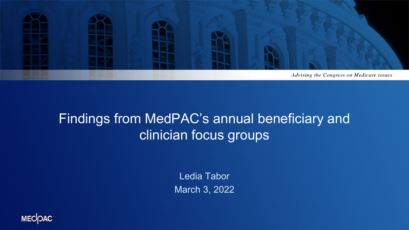

#### Findings from MedPAC's annual beneficiary and clinician focus groups

Ledia Tabor March 3, 2022

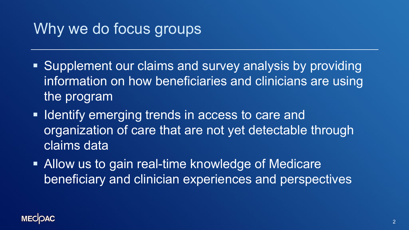## Why we do focus groups

- **Supplement our claims and survey analysis by providing** information on how beneficiaries and clinicians are using the program
- **If Identify emerging trends in access to care and** organization of care that are not yet detectable through claims data
- Allow us to gain real-time knowledge of Medicare beneficiary and clinician experiences and perspectives

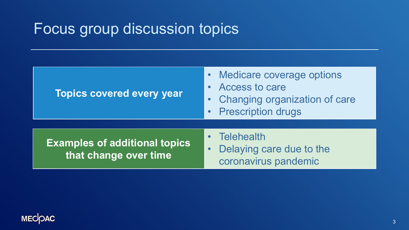## Focus group discussion topics

| <b>Topics covered every year</b>                              | • Medicare coverage options<br>• Access to care<br>• Changing organization of care<br>• Prescription drugs |
|---------------------------------------------------------------|------------------------------------------------------------------------------------------------------------|
| <b>Examples of additional topics</b><br>that change over time | • Telehealth<br>Delaying care due to the<br>$\bullet$<br>coronavirus pandemic                              |

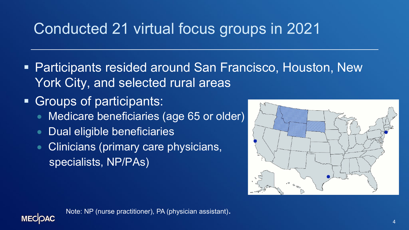# Conducted 21 virtual focus groups in 2021

- Participants resided around San Francisco, Houston, New York City, and selected rural areas
- Groups of participants:
	- Medicare beneficiaries (age 65 or older)
	- Dual eligible beneficiaries
	- Clinicians (primary care physicians, specialists, NP/PAs)



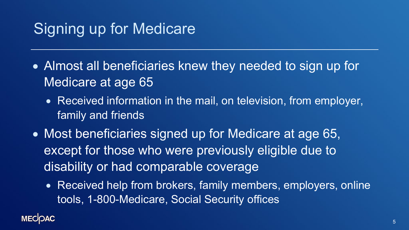## Signing up for Medicare

- Almost all beneficiaries knew they needed to sign up for Medicare at age 65
	- Received information in the mail, on television, from employer, family and friends
- Most beneficiaries signed up for Medicare at age 65, except for those who were previously eligible due to disability or had comparable coverage
	- Received help from brokers, family members, employers, online tools, 1-800-Medicare, Social Security offices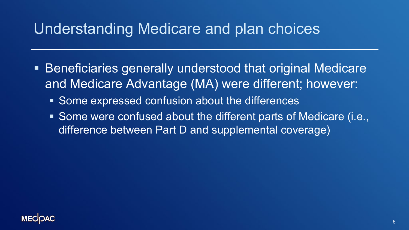### Understanding Medicare and plan choices

- Beneficiaries generally understood that original Medicare and Medicare Advantage (MA) were different; however:
	- Some expressed confusion about the differences
	- Some were confused about the different parts of Medicare (i.e., difference between Part D and supplemental coverage)

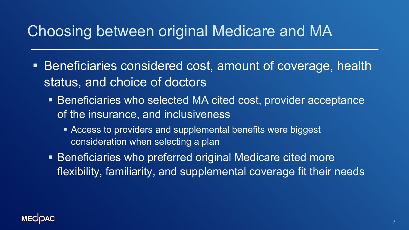## Choosing between original Medicare and MA

- Beneficiaries considered cost, amount of coverage, health status, and choice of doctors
	- Beneficiaries who selected MA cited cost, provider acceptance of the insurance, and inclusiveness
		- Access to providers and supplemental benefits were biggest consideration when selecting a plan
	- Beneficiaries who preferred original Medicare cited more flexibility, familiarity, and supplemental coverage fit their needs

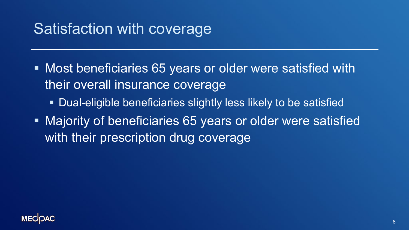## Satisfaction with coverage

- Most beneficiaries 65 years or older were satisfied with their overall insurance coverage
	- Dual-eligible beneficiaries slightly less likely to be satisfied
- **Majority of beneficiaries 65 years or older were satisfied** with their prescription drug coverage

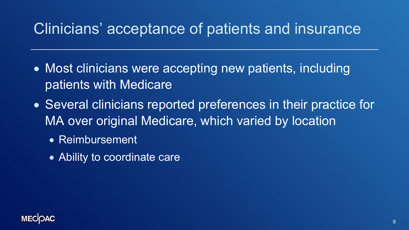## Clinicians' acceptance of patients and insurance

- Most clinicians were accepting new patients, including patients with Medicare
- Several clinicians reported preferences in their practice for MA over original Medicare, which varied by location
	- Reimbursement
	- Ability to coordinate care

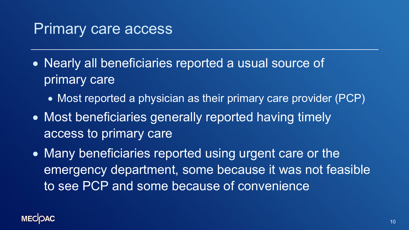### Primary care access

- Nearly all beneficiaries reported a usual source of primary care
	- Most reported a physician as their primary care provider (PCP)
- Most beneficiaries generally reported having timely access to primary care
- Many beneficiaries reported using urgent care or the emergency department, some because it was not feasible to see PCP and some because of convenience

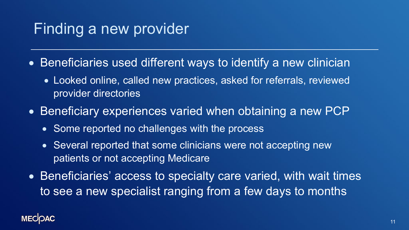## Finding a new provider

- Beneficiaries used different ways to identify a new clinician
	- Looked online, called new practices, asked for referrals, reviewed provider directories
- Beneficiary experiences varied when obtaining a new PCP
	- Some reported no challenges with the process
	- Several reported that some clinicians were not accepting new patients or not accepting Medicare
- Beneficiaries' access to specialty care varied, with wait times to see a new specialist ranging from a few days to months

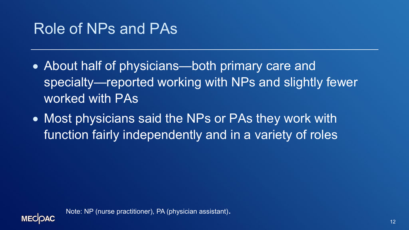## Role of NPs and PAs

- About half of physicians—both primary care and specialty—reported working with NPs and slightly fewer worked with PAs
- Most physicians said the NPs or PAs they work with function fairly independently and in a variety of roles

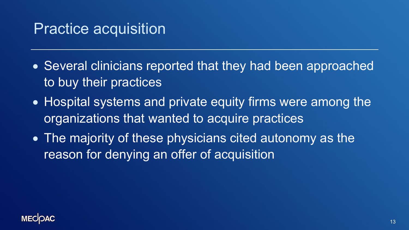### Practice acquisition

- Several clinicians reported that they had been approached to buy their practices
- Hospital systems and private equity firms were among the organizations that wanted to acquire practices
- The majority of these physicians cited autonomy as the reason for denying an offer of acquisition

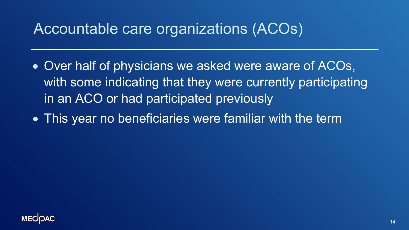## Accountable care organizations (ACOs)

- Over half of physicians we asked were aware of ACOs, with some indicating that they were currently participating in an ACO or had participated previously
- This year no beneficiaries were familiar with the term

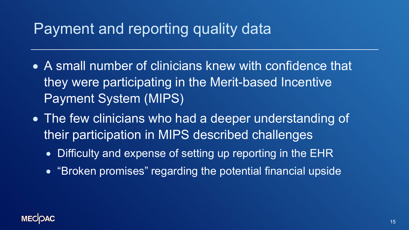## Payment and reporting quality data

- A small number of clinicians knew with confidence that they were participating in the Merit-based Incentive Payment System (MIPS)
- The few clinicians who had a deeper understanding of their participation in MIPS described challenges
	- Difficulty and expense of setting up reporting in the EHR
	- "Broken promises" regarding the potential financial upside

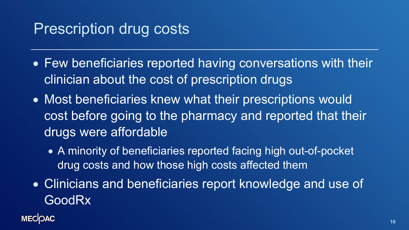## Prescription drug costs

- Few beneficiaries reported having conversations with their clinician about the cost of prescription drugs
- Most beneficiaries knew what their prescriptions would cost before going to the pharmacy and reported that their drugs were affordable
	- A minority of beneficiaries reported facing high out-of-pocket drug costs and how those high costs affected them
- Clinicians and beneficiaries report knowledge and use of **GoodRx**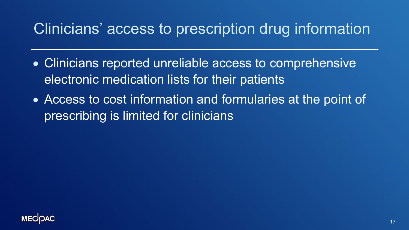## Clinicians' access to prescription drug information

- Clinicians reported unreliable access to comprehensive electronic medication lists for their patients
- Access to cost information and formularies at the point of prescribing is limited for clinicians